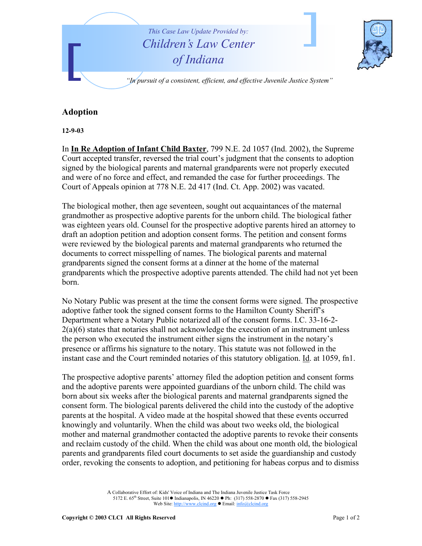

## **Adoption**

**12-9-03** 

In **In Re Adoption of Infant Child Baxter**, 799 N.E. 2d 1057 (Ind. 2002), the Supreme Court accepted transfer, reversed the trial court's judgment that the consents to adoption signed by the biological parents and maternal grandparents were not properly executed and were of no force and effect, and remanded the case for further proceedings. The Court of Appeals opinion at 778 N.E. 2d 417 (Ind. Ct. App. 2002) was vacated.

The biological mother, then age seventeen, sought out acquaintances of the maternal grandmother as prospective adoptive parents for the unborn child. The biological father was eighteen years old. Counsel for the prospective adoptive parents hired an attorney to draft an adoption petition and adoption consent forms. The petition and consent forms were reviewed by the biological parents and maternal grandparents who returned the documents to correct misspelling of names. The biological parents and maternal grandparents signed the consent forms at a dinner at the home of the maternal grandparents which the prospective adoptive parents attended. The child had not yet been born.

No Notary Public was present at the time the consent forms were signed. The prospective adoptive father took the signed consent forms to the Hamilton County Sheriff's Department where a Notary Public notarized all of the consent forms. I.C. 33-16-2- 2(a)(6) states that notaries shall not acknowledge the execution of an instrument unless the person who executed the instrument either signs the instrument in the notary's presence or affirms his signature to the notary. This statute was not followed in the instant case and the Court reminded notaries of this statutory obligation. Id. at 1059, fn1.

The prospective adoptive parents' attorney filed the adoption petition and consent forms and the adoptive parents were appointed guardians of the unborn child. The child was born about six weeks after the biological parents and maternal grandparents signed the consent form. The biological parents delivered the child into the custody of the adoptive parents at the hospital. A video made at the hospital showed that these events occurred knowingly and voluntarily. When the child was about two weeks old, the biological mother and maternal grandmother contacted the adoptive parents to revoke their consents and reclaim custody of the child. When the child was about one month old, the biological parents and grandparents filed court documents to set aside the guardianship and custody order, revoking the consents to adoption, and petitioning for habeas corpus and to dismiss

> A Collaborative Effort of: Kids' Voice of Indiana and The Indiana Juvenile Justice Task Force 5172 E. 65<sup>th</sup> Street, Suite 101 ● Indianapolis, IN 46220 ● Ph: (317) 558-2870 ● Fax (317) 558-2945 Web Site: http://www.clcind.org • Email: info@clcind.org